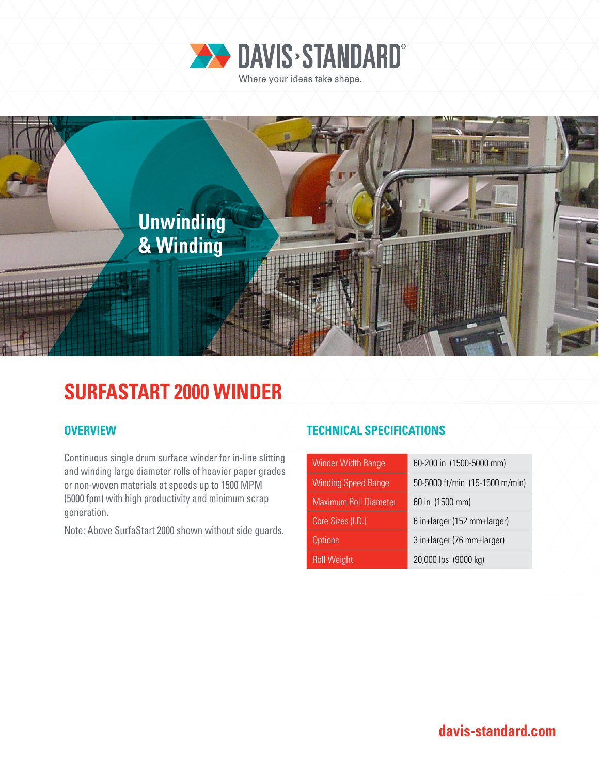



# **SURFASTART 2000 WINDER**

Continuous single drum surface winder for in-line slitting and winding large diameter rolls of heavier paper grades or non-woven materials at speeds up to 1500 MPM (5000 fpm) with high productivity and minimum scrap generation.

Note: Above SurfaStart 2000 shown without side guards.

## **OVERVIEW TECHNICAL SPECIFICATIONS**

| Winder Width Range           | 60-200 in (1500-5000 mm)       |
|------------------------------|--------------------------------|
| <b>Winding Speed Range</b>   | 50-5000 ft/min (15-1500 m/min) |
| <b>Maximum Roll Diameter</b> | 60 in (1500 mm)                |
| Core Sizes (I.D.)            | 6 in+larger (152 mm+larger)    |
| <b>Options</b>               | 3 in+larger (76 mm+larger)     |
| <b>Roll Weight</b>           | 20,000 lbs (9000 kg)           |